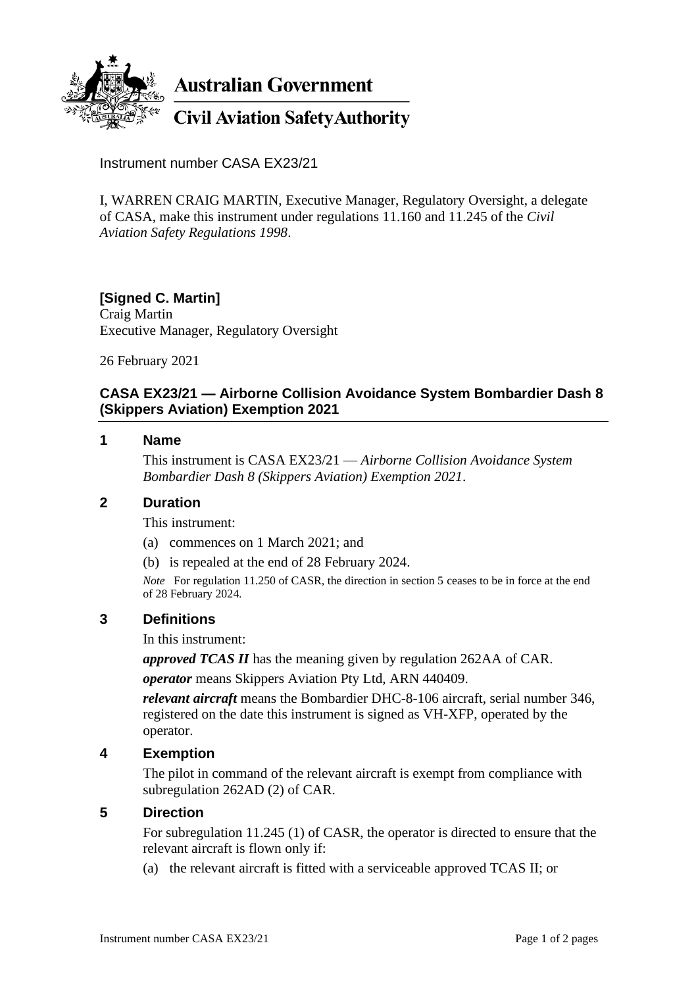

**Australian Government** 

**Civil Aviation Safety Authority** 

Instrument number CASA EX23/21

I, WARREN CRAIG MARTIN, Executive Manager, Regulatory Oversight, a delegate of CASA, make this instrument under regulations 11.160 and 11.245 of the *Civil Aviation Safety Regulations 1998*.

# **[Signed C. Martin]**

Craig Martin Executive Manager, Regulatory Oversight

26 February 2021

## **CASA EX23/21 — Airborne Collision Avoidance System Bombardier Dash 8 (Skippers Aviation) Exemption 2021**

### **1 Name**

This instrument is CASA EX23/21 — *Airborne Collision Avoidance System Bombardier Dash 8 (Skippers Aviation) Exemption 2021*.

#### **2 Duration**

This instrument:

- (a) commences on 1 March 2021; and
- (b) is repealed at the end of 28 February 2024.

*Note* For regulation 11.250 of CASR, the direction in section 5 ceases to be in force at the end of 28 February 2024*.*

## **3 Definitions**

In this instrument:

*approved TCAS II* has the meaning given by regulation 262AA of CAR.

*operator* means Skippers Aviation Pty Ltd, ARN 440409.

*relevant aircraft* means the Bombardier DHC-8-106 aircraft, serial number 346, registered on the date this instrument is signed as VH-XFP, operated by the operator.

## **4 Exemption**

The pilot in command of the relevant aircraft is exempt from compliance with subregulation 262AD (2) of CAR.

#### **5 Direction**

For subregulation 11.245 (1) of CASR, the operator is directed to ensure that the relevant aircraft is flown only if:

(a) the relevant aircraft is fitted with a serviceable approved TCAS II; or